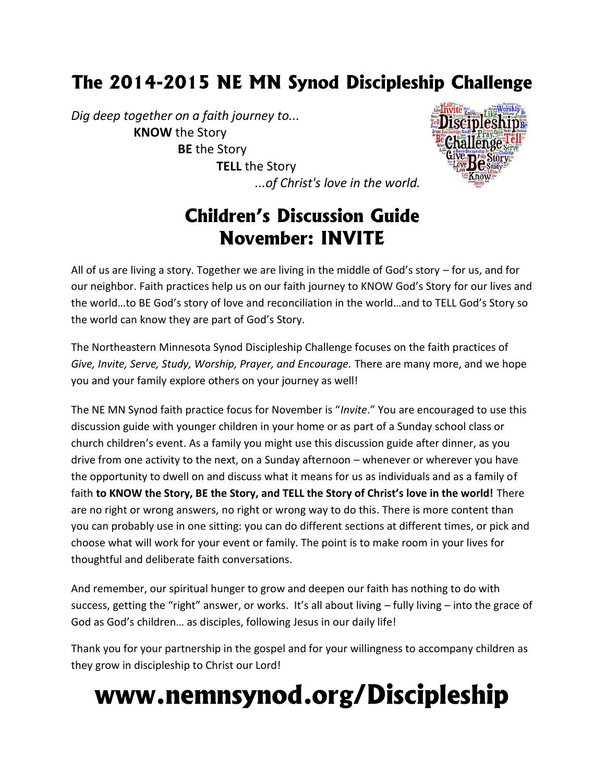# **The 2014-2015 NE MN Synod Discipleship Challenge**

*Dig deep together on a faith journey to...* **KNOW** the Story **BE** the Story **TELL** the Story *...of Christ's love in the world.*



# **Children's Discussion Guide November: INVITE**

All of us are living a story. Together we are living in the middle of God's story – for us, and for our neighbor. Faith practices help us on our faith journey to KNOW God's Story for our lives and the world…to BE God's story of love and reconciliation in the world…and to TELL God's Story so the world can know they are part of God's Story.

The Northeastern Minnesota Synod Discipleship Challenge focuses on the faith practices of *Give, Invite, Serve, Study, Worship, Prayer, and Encourage.* There are many more, and we hope you and your family explore others on your journey as well!

The NE MN Synod faith practice focus for November is "*Invite*." You are encouraged to use this discussion guide with younger children in your home or as part of a Sunday school class or church children's event. As a family you might use this discussion guide after dinner, as you drive from one activity to the next, on a Sunday afternoon – whenever or wherever you have the opportunity to dwell on and discuss what it means for us as individuals and as a family of faith **to KNOW the Story, BE the Story, and TELL the Story of Christ's love in the world!** There are no right or wrong answers, no right or wrong way to do this. There is more content than you can probably use in one sitting: you can do different sections at different times, or pick and choose what will work for your event or family. The point is to make room in your lives for thoughtful and deliberate faith conversations.

And remember, our spiritual hunger to grow and deepen our faith has nothing to do with success, getting the "right" answer, or works. It's all about living – fully living – into the grace of God as God's children… as disciples, following Jesus in our daily life!

Thank you for your partnership in the gospel and for your willingness to accompany children as they grow in discipleship to Christ our Lord!

# **www.nemnsynod.org/Discipleship**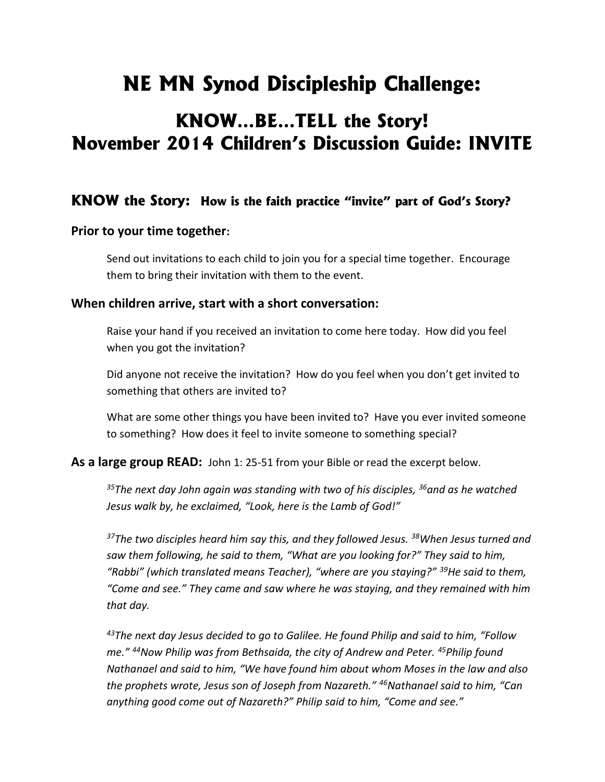# **NE MN Synod Discipleship Challenge:**

# **KNOW…BE…TELL the Story! November 2014 Children's Discussion Guide: INVITE**

# **KNOW the Story: How is the faith practice "invite" part of God's Story?**

### **Prior to your time together:**

Send out invitations to each child to join you for a special time together. Encourage them to bring their invitation with them to the event.

### **When children arrive, start with a short conversation:**

Raise your hand if you received an invitation to come here today. How did you feel when you got the invitation?

Did anyone not receive the invitation? How do you feel when you don't get invited to something that others are invited to?

What are some other things you have been invited to? Have you ever invited someone to something? How does it feel to invite someone to something special?

**As a large group READ:** John 1: 25-51 from your Bible or read the excerpt below.

*<sup>35</sup>The next day John again was standing with two of his disciples, <sup>36</sup>and as he watched Jesus walk by, he exclaimed, "Look, here is the Lamb of God!"*

*<sup>37</sup>The two disciples heard him say this, and they followed Jesus. <sup>38</sup>When Jesus turned and saw them following, he said to them, "What are you looking for?" They said to him, "Rabbi" (which translated means Teacher), "where are you staying?" <sup>39</sup>He said to them, "Come and see." They came and saw where he was staying, and they remained with him that day.*

*<sup>43</sup>The next day Jesus decided to go to Galilee. He found Philip and said to him, "Follow me." <sup>44</sup>Now Philip was from Bethsaida, the city of Andrew and Peter. <sup>45</sup>Philip found Nathanael and said to him, "We have found him about whom Moses in the law and also the prophets wrote, Jesus son of Joseph from Nazareth." <sup>46</sup>Nathanael said to him, "Can anything good come out of Nazareth?" Philip said to him, "Come and see."*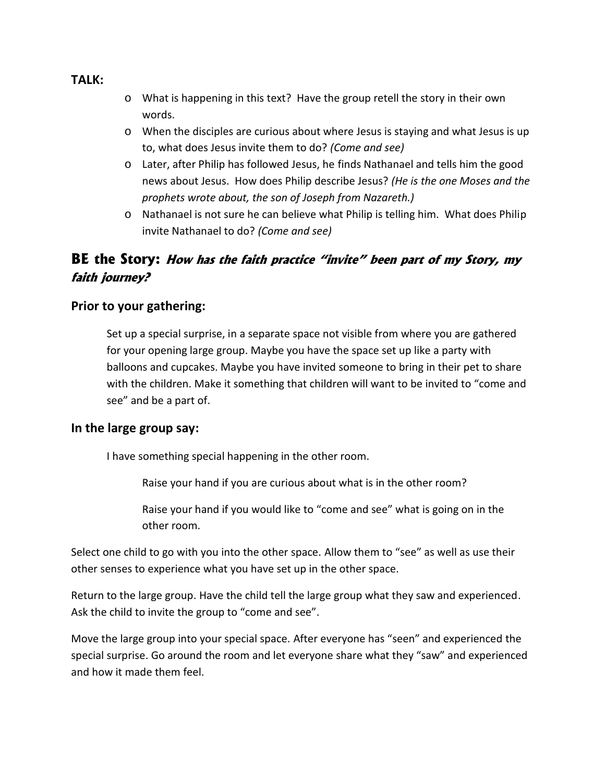#### **TALK:**

- o What is happening in this text? Have the group retell the story in their own words.
- o When the disciples are curious about where Jesus is staying and what Jesus is up to, what does Jesus invite them to do? *(Come and see)*
- o Later, after Philip has followed Jesus, he finds Nathanael and tells him the good news about Jesus. How does Philip describe Jesus? *(He is the one Moses and the prophets wrote about, the son of Joseph from Nazareth.)*
- o Nathanael is not sure he can believe what Philip is telling him. What does Philip invite Nathanael to do? *(Come and see)*

# **BE the Story:** *How has the faith practice "invite" been part of my Story, my faith journey?*

### **Prior to your gathering:**

Set up a special surprise, in a separate space not visible from where you are gathered for your opening large group. Maybe you have the space set up like a party with balloons and cupcakes. Maybe you have invited someone to bring in their pet to share with the children. Make it something that children will want to be invited to "come and see" and be a part of.

### **In the large group say:**

I have something special happening in the other room.

Raise your hand if you are curious about what is in the other room?

Raise your hand if you would like to "come and see" what is going on in the other room.

Select one child to go with you into the other space. Allow them to "see" as well as use their other senses to experience what you have set up in the other space.

Return to the large group. Have the child tell the large group what they saw and experienced. Ask the child to invite the group to "come and see".

Move the large group into your special space. After everyone has "seen" and experienced the special surprise. Go around the room and let everyone share what they "saw" and experienced and how it made them feel.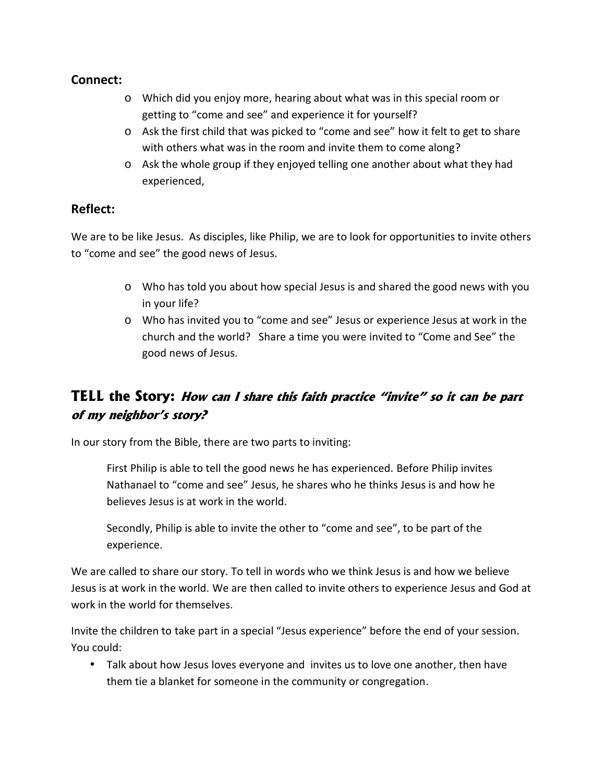# **Connect:**

- o Which did you enjoy more, hearing about what was in this special room or getting to "come and see" and experience it for yourself?
- o Ask the first child that was picked to "come and see" how it felt to get to share with others what was in the room and invite them to come along?
- o Ask the whole group if they enjoyed telling one another about what they had experienced,

# **Reflect:**

We are to be like Jesus. As disciples, like Philip, we are to look for opportunities to invite others to "come and see" the good news of Jesus.

- o Who has told you about how special Jesus is and shared the good news with you in your life?
- o Who has invited you to "come and see" Jesus or experience Jesus at work in the church and the world? Share a time you were invited to "Come and See" the good news of Jesus.

# **TELL the Story:** *How can I share this faith practice "invite" so it can be part of my neighbor's story?*

In our story from the Bible, there are two parts to inviting:

First Philip is able to tell the good news he has experienced. Before Philip invites Nathanael to "come and see" Jesus, he shares who he thinks Jesus is and how he believes Jesus is at work in the world.

Secondly, Philip is able to invite the other to "come and see", to be part of the experience.

We are called to share our story. To tell in words who we think Jesus is and how we believe Jesus is at work in the world. We are then called to invite others to experience Jesus and God at work in the world for themselves.

Invite the children to take part in a special "Jesus experience" before the end of your session. You could:

 Talk about how Jesus loves everyone and invites us to love one another, then have them tie a blanket for someone in the community or congregation.